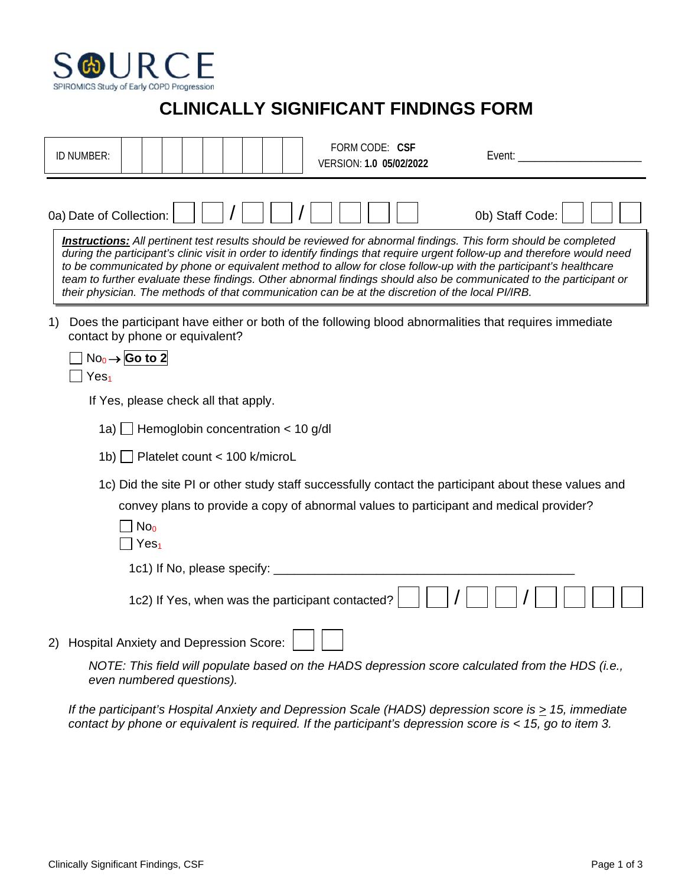

## **CLINICALLY SIGNIFICANT FINDINGS FORM**

|    | ID NUMBER:                                                                                                                                                                                                                                                                                                                                                                                                                                                                                                                                                                                         |                                                                                                                                         |  |  |                                                  |  |  |  |  | FORM CODE: CSF<br>VERSION: 1.0 05/02/2022 |  |  | Event:          |  |                                                                                                      |
|----|----------------------------------------------------------------------------------------------------------------------------------------------------------------------------------------------------------------------------------------------------------------------------------------------------------------------------------------------------------------------------------------------------------------------------------------------------------------------------------------------------------------------------------------------------------------------------------------------------|-----------------------------------------------------------------------------------------------------------------------------------------|--|--|--------------------------------------------------|--|--|--|--|-------------------------------------------|--|--|-----------------|--|------------------------------------------------------------------------------------------------------|
|    | 0a) Date of Collection:                                                                                                                                                                                                                                                                                                                                                                                                                                                                                                                                                                            |                                                                                                                                         |  |  |                                                  |  |  |  |  |                                           |  |  | 0b) Staff Code: |  |                                                                                                      |
|    | <b>Instructions:</b> All pertinent test results should be reviewed for abnormal findings. This form should be completed<br>during the participant's clinic visit in order to identify findings that require urgent follow-up and therefore would need<br>to be communicated by phone or equivalent method to allow for close follow-up with the participant's healthcare<br>team to further evaluate these findings. Other abnormal findings should also be communicated to the participant or<br>their physician. The methods of that communication can be at the discretion of the local PI/IRB. |                                                                                                                                         |  |  |                                                  |  |  |  |  |                                           |  |  |                 |  |                                                                                                      |
| 1) | Does the participant have either or both of the following blood abnormalities that requires immediate<br>contact by phone or equivalent?<br>Yes <sub>1</sub>                                                                                                                                                                                                                                                                                                                                                                                                                                       | $No_0 \rightarrow$ Go to 2                                                                                                              |  |  |                                                  |  |  |  |  |                                           |  |  |                 |  |                                                                                                      |
|    |                                                                                                                                                                                                                                                                                                                                                                                                                                                                                                                                                                                                    | If Yes, please check all that apply.                                                                                                    |  |  |                                                  |  |  |  |  |                                           |  |  |                 |  |                                                                                                      |
|    |                                                                                                                                                                                                                                                                                                                                                                                                                                                                                                                                                                                                    | 1a) Hemoglobin concentration $<$ 10 g/dl                                                                                                |  |  |                                                  |  |  |  |  |                                           |  |  |                 |  |                                                                                                      |
|    | 1b) Platelet count < 100 k/microL                                                                                                                                                                                                                                                                                                                                                                                                                                                                                                                                                                  |                                                                                                                                         |  |  |                                                  |  |  |  |  |                                           |  |  |                 |  |                                                                                                      |
|    |                                                                                                                                                                                                                                                                                                                                                                                                                                                                                                                                                                                                    | convey plans to provide a copy of abnormal values to participant and medical provider?<br>No <sub>0</sub><br>$\exists$ Yes <sub>1</sub> |  |  |                                                  |  |  |  |  |                                           |  |  |                 |  | 1c) Did the site PI or other study staff successfully contact the participant about these values and |
|    |                                                                                                                                                                                                                                                                                                                                                                                                                                                                                                                                                                                                    |                                                                                                                                         |  |  | 1c1) If No, please specify:                      |  |  |  |  |                                           |  |  |                 |  |                                                                                                      |
|    |                                                                                                                                                                                                                                                                                                                                                                                                                                                                                                                                                                                                    |                                                                                                                                         |  |  | 1c2) If Yes, when was the participant contacted? |  |  |  |  |                                           |  |  |                 |  |                                                                                                      |
| 2) | <b>Hospital Anxiety and Depression Score:</b>                                                                                                                                                                                                                                                                                                                                                                                                                                                                                                                                                      | NOTE: This field will populate based on the HADS depression score calculated from the HDS (i.e.,<br>even numbered questions).           |  |  |                                                  |  |  |  |  |                                           |  |  |                 |  |                                                                                                      |

*If the participant's Hospital Anxiety and Depression Scale (HADS) depression score is*  $\geq$  *15, immediate contact by phone or equivalent is required. If the participant's depression score is < 15, go to item 3.*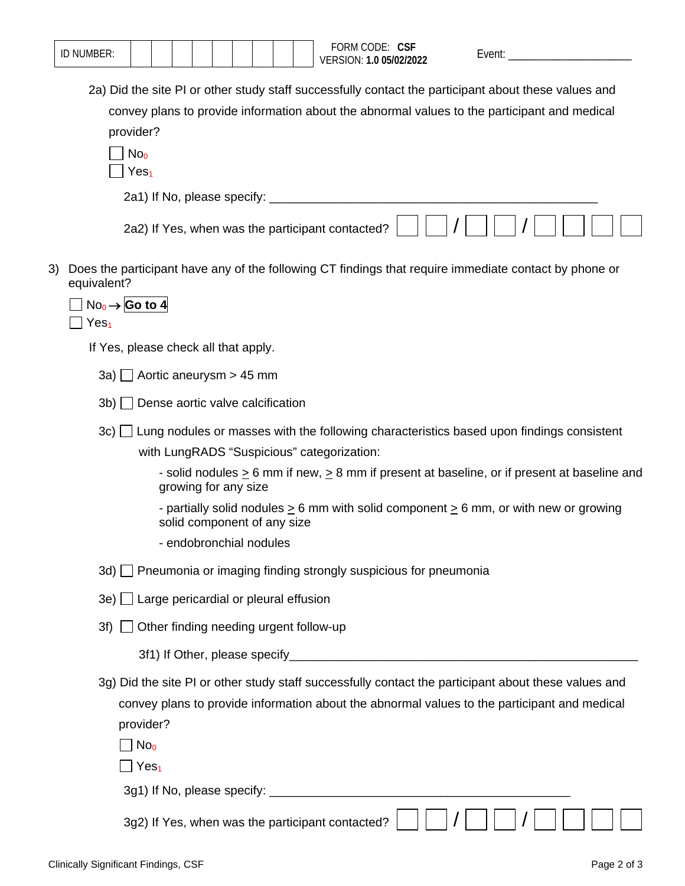|     | FORM CODE: CSF<br>ID NUMBER:<br>Event: ____________<br>VERSION: 1.0 05/02/2022                                                |
|-----|-------------------------------------------------------------------------------------------------------------------------------|
|     | 2a) Did the site PI or other study staff successfully contact the participant about these values and                          |
|     | convey plans to provide information about the abnormal values to the participant and medical                                  |
|     | provider?                                                                                                                     |
|     | No <sub>0</sub>                                                                                                               |
|     | Yes <sub>1</sub>                                                                                                              |
|     |                                                                                                                               |
|     | 2a2) If Yes, when was the participant contacted?                                                                              |
| 3). | Does the participant have any of the following CT findings that require immediate contact by phone or<br>equivalent?          |
|     | $No_0 \rightarrow$ Go to 4<br>Yes <sub>1</sub>                                                                                |
|     | If Yes, please check all that apply.                                                                                          |
|     | 3a) Aortic aneurysm $> 45$ mm                                                                                                 |
|     | $3b)$ Dense aortic valve calcification                                                                                        |
|     | 3c)<br>$\Box$ Lung nodules or masses with the following characteristics based upon findings consistent                        |
|     | with LungRADS "Suspicious" categorization:                                                                                    |
|     | - solid nodules $\geq 6$ mm if new, $\geq 8$ mm if present at baseline, or if present at baseline and<br>growing for any size |
|     | - partially solid nodules $\geq 6$ mm with solid component $\geq 6$ mm, or with new or growing<br>solid component of any size |
|     | - endobronchial nodules                                                                                                       |
|     | 3d) Pneumonia or imaging finding strongly suspicious for pneumonia                                                            |
|     | 3e) □ Large pericardial or pleural effusion                                                                                   |
|     | Other finding needing urgent follow-up<br>3f)                                                                                 |
|     |                                                                                                                               |
|     | 3g) Did the site PI or other study staff successfully contact the participant about these values and                          |
|     | convey plans to provide information about the abnormal values to the participant and medical                                  |
|     | provider?                                                                                                                     |
|     | No <sub>0</sub>                                                                                                               |
|     | Yes <sub>1</sub>                                                                                                              |
|     |                                                                                                                               |
|     | 3g2) If Yes, when was the participant contacted?                                                                              |